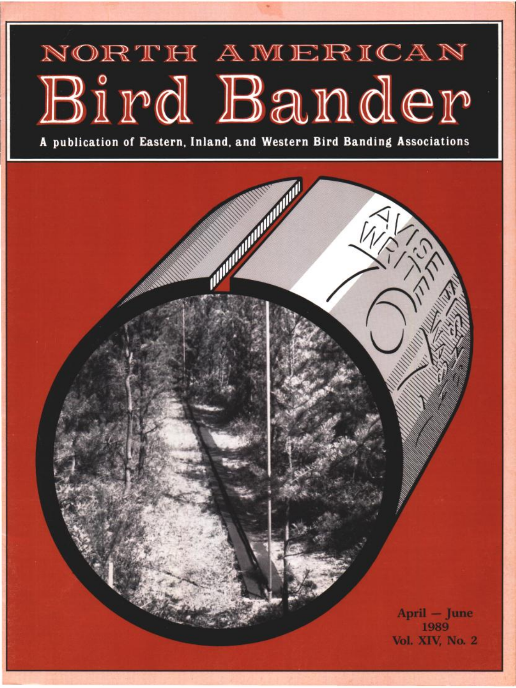## NORTH AMERICAN Bird Bander

**A publication of Eastern, Inland, and Western Bird Banding Associations**